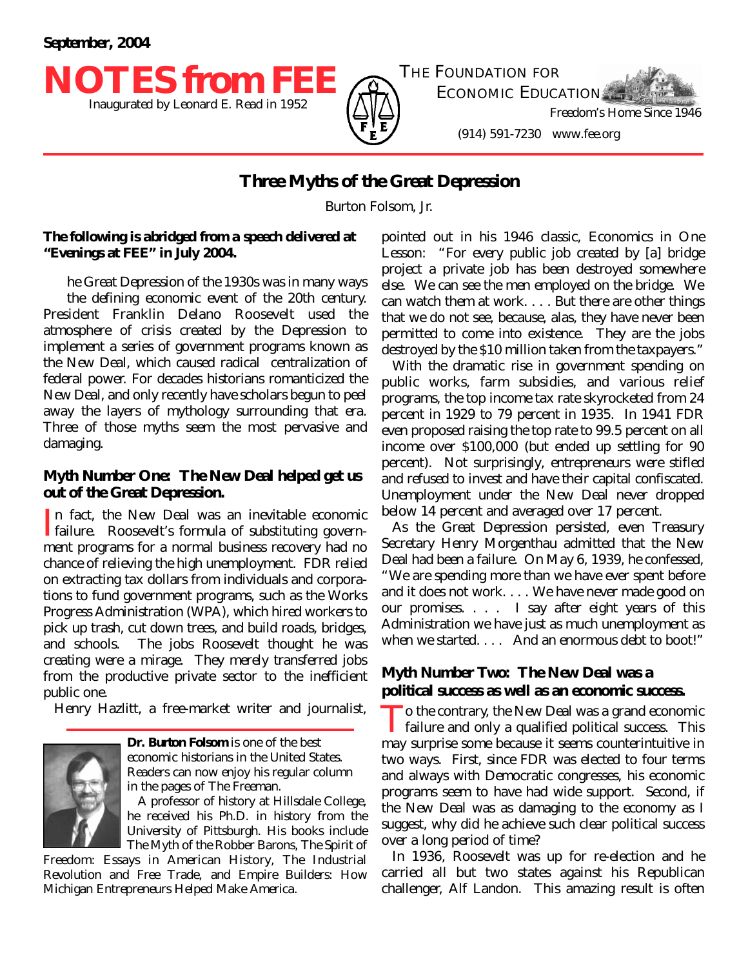

Inaugurated by Leonard E. Read in 1952  $\bigoplus_{\Delta}$   $\bigoplus_{\Delta}$  Freedom's Home Since 1946 THE FOUNDATION FOR ECONOMIC EDUCATION

(914) 591-7230 www.fee.org

## **Three Myths of the Great Depression**

Burton Folsom, Jr.

#### *The following is abridged from a speech delivered at "Evenings at FEE" in July 2004.*

t<br>L he Great Depression of the 1930s was in many ways the defining economic event of the 20th century. President Franklin Delano Roosevelt used the atmosphere of crisis created by the Depression to implement a series of government programs known as the New Deal, which caused radical centralization of federal power. For decades historians romanticized the New Deal, and only recently have scholars begun to peel away the layers of mythology surrounding that era. Three of those myths seem the most pervasive and damaging.

### *Myth Number One:* **The New Deal helped get us out of the Great Depression.**

In fact, the New Deal was an inevitable economic<br>failure. Roosevelt's formula of substituting governn fact, the New Deal was an inevitable economic ment programs for a normal business recovery had no chance of relieving the high unemployment. FDR relied on extracting tax dollars from individuals and corporations to fund government programs, such as the Works Progress Administration (WPA), which hired workers to pick up trash, cut down trees, and build roads, bridges, and schools. The jobs Roosevelt thought he was creating were a mirage. They merely transferred jobs from the productive private sector to the inefficient public one.

Henry Hazlitt, a free-market writer and journalist,



**Dr. Burton Folsom** is one of the best economic historians in the United States. Readers can now enjoy his regular column in the pages of *The Freeman*.

A professor of history at Hillsdale College, he received his Ph.D. in history from the University of Pittsburgh. His books include *The Myth of the Robber Barons*, *The Spirit of*

*Freedom: Essays in American History*, *The Industrial Revolution and Free Trade*, and *Empire Builders: How Michigan Entrepreneurs Helped Make America*.

pointed out in his 1946 classic, *Economics in One Lesson*: "For every public job created by [a] bridge project a private job has been destroyed somewhere else. We can see the men employed on the bridge. We can watch them at work. . . . But there are other things that we do not see, because, alas, they have never been permitted to come into existence. They are the jobs destroyed by the \$10 million taken from the taxpayers."

With the dramatic rise in government spending on public works, farm subsidies, and various relief programs, the top income tax rate skyrocketed from 24 percent in 1929 to 79 percent in 1935. In 1941 FDR even proposed raising the top rate to 99.5 percent on all income over \$100,000 (but ended up settling for 90 percent). Not surprisingly, entrepreneurs were stifled and refused to invest and have their capital confiscated. Unemployment under the New Deal never dropped below 14 percent and averaged over 17 percent.

As the Great Depression persisted, even Treasury Secretary Henry Morgenthau admitted that the New Deal had been a failure. On May 6, 1939, he confessed, "We are spending more than we have ever spent before and it does not work. . . . We have never made good on our promises. . . . I say after eight years of this Administration we have just as much unemployment as when we started. . . . And an enormous debt to boot!"

### *Myth Number Two:* **The New Deal was a political success as well as an economic success.**

To the contrary, the New Deal was a grand economic<br>failure and only a qualified political success. This o the contrary, the New Deal was a grand economic may surprise some because it seems counterintuitive in two ways. First, since FDR was elected to four terms and always with Democratic congresses, his economic programs seem to have had wide support. Second, if the New Deal was as damaging to the economy as I suggest, why did he achieve such clear political success over a long period of time?

In 1936, Roosevelt was up for re-election and he carried all but two states against his Republican challenger, Alf Landon. This amazing result is often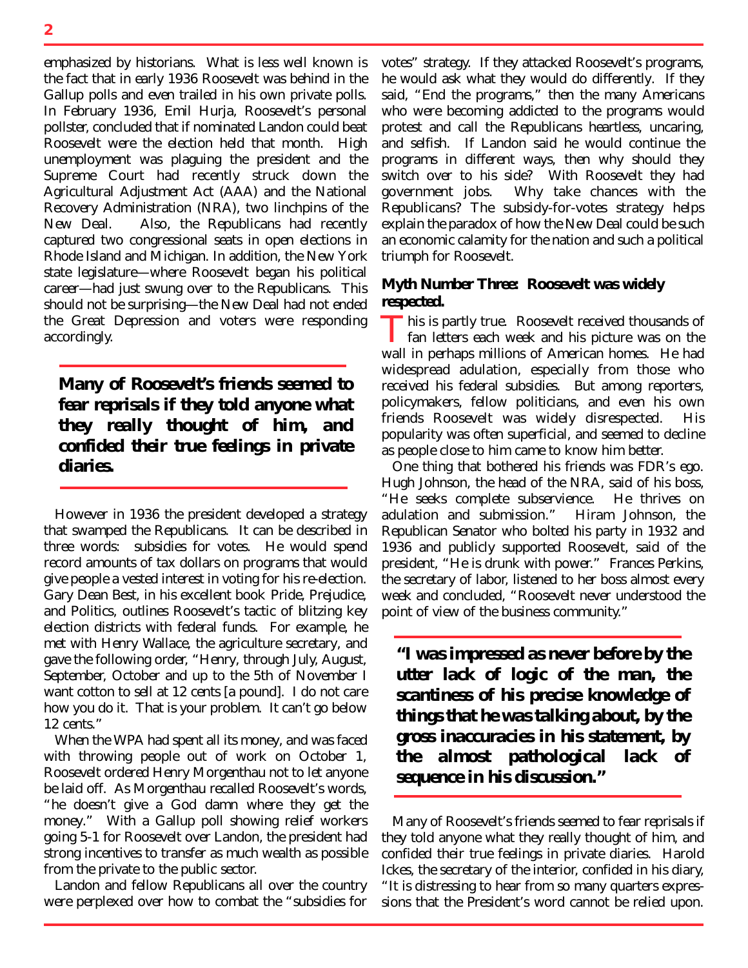emphasized by historians. What is less well known is the fact that in early 1936 Roosevelt was behind in the Gallup polls and even trailed in his own private polls. In February 1936, Emil Hurja, Roosevelt's personal pollster, concluded that if nominated Landon could beat Roosevelt were the election held that month. High unemployment was plaguing the president and the Supreme Court had recently struck down the Agricultural Adjustment Act (AAA) and the National Recovery Administration (NRA), two linchpins of the New Deal. Also, the Republicans had recently captured two congressional seats in open elections in Rhode Island and Michigan. In addition, the New York state legislature—where Roosevelt began his political career—had just swung over to the Republicans. This should not be surprising—the New Deal had not ended the Great Depression and voters were responding accordingly.

# *Many of Roosevelt's friends seemed to fear reprisals if they told anyone what they really thought of him, and confided their true feelings in private diaries.*

However in 1936 the president developed a strategy that swamped the Republicans. It can be described in three words: subsidies for votes. He would spend record amounts of tax dollars on programs that would give people a vested interest in voting for his re-election. Gary Dean Best, in his excellent book *Pride, Prejudice, and Politics*, outlines Roosevelt's tactic of blitzing key election districts with federal funds. For example, he met with Henry Wallace, the agriculture secretary, and gave the following order, "Henry, through July, August, September, October and up to the 5th of November I want cotton to sell at 12 cents [a pound]. I do not care how you do it. That is your problem. It can't go below 12 cents."

When the WPA had spent all its money, and was faced with throwing people out of work on October 1, Roosevelt ordered Henry Morgenthau not to let anyone be laid off. As Morgenthau recalled Roosevelt's words, "he doesn't give a God damn where they get the money." With a Gallup poll showing relief workers going 5-1 for Roosevelt over Landon, the president had strong incentives to transfer as much wealth as possible from the private to the public sector.

Landon and fellow Republicans all over the country were perplexed over how to combat the "subsidies for

votes" strategy. If they attacked Roosevelt's programs, he would ask what they would do differently. If they said, "End the programs," then the many Americans who were becoming addicted to the programs would protest and call the Republicans heartless, uncaring, and selfish. If Landon said he would continue the programs in different ways, then why should they switch over to his side? With Roosevelt they had government jobs. Why take chances with the Republicans? The subsidy-for-votes strategy helps explain the paradox of how the New Deal could be such an economic calamity for the nation and such a political triumph for Roosevelt.

### *Myth Number Three:* **Roosevelt was widely respected.**

This is partly true. Roosevelt received thousands of<br>
fan letters each week and his picture was on the  $\blacksquare$  fan letters each week and his picture was on the wall in perhaps millions of American homes. He had widespread adulation, especially from those who received his federal subsidies. But among reporters, policymakers, fellow politicians, and even his own friends Roosevelt was widely disrespected. His popularity was often superficial, and seemed to decline as people close to him came to know him better.

One thing that bothered his friends was FDR's ego. Hugh Johnson, the head of the NRA, said of his boss, "He seeks complete subservience. He thrives on adulation and submission." Hiram Johnson, the Republican Senator who bolted his party in 1932 and 1936 and publicly supported Roosevelt, said of the president, "He is drunk with power." Frances Perkins, the secretary of labor, listened to her boss almost every week and concluded, "Roosevelt never understood the point of view of the business community."

*"I was impressed as never before by the utter lack of logic of the man, the scantiness of his precise knowledge of things that he was talking about, by the gross inaccuracies in his statement, by the almost pathological lack of sequence in his discussion."*

Many of Roosevelt's friends seemed to fear reprisals if they told anyone what they really thought of him, and confided their true feelings in private diaries. Harold Ickes, the secretary of the interior, confided in his diary, "It is distressing to hear from so many quarters expressions that the President's word cannot be relied upon.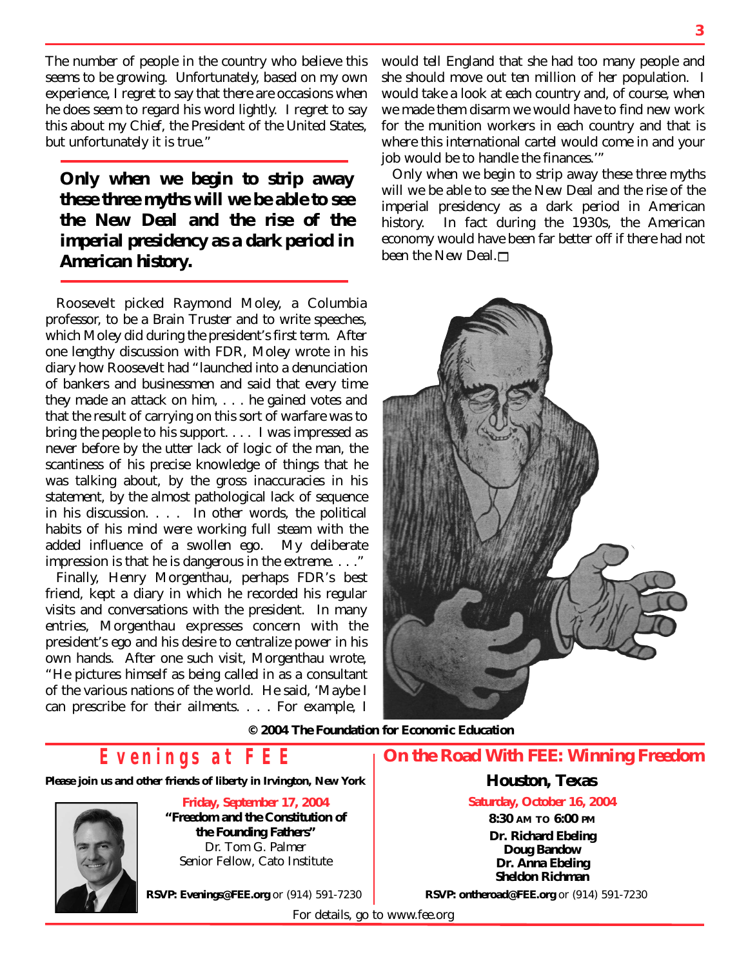The number of people in the country who believe this seems to be growing. Unfortunately, based on my own experience, I regret to say that there are occasions when he does seem to regard his word lightly. I regret to say this about my Chief, the President of the United States, but unfortunately it is true."

*Only when we begin to strip away these three myths will we be able to see the New Deal and the rise of the imperial presidency as a dark period in American history.*

Roosevelt picked Raymond Moley, a Columbia professor, to be a Brain Truster and to write speeches, which Moley did during the president's first term. After one lengthy discussion with FDR, Moley wrote in his diary how Roosevelt had "launched into a denunciation of bankers and businessmen and said that every time they made an attack on him, . . . he gained votes and that the result of carrying on this sort of warfare was to bring the people to his support. . . . I was impressed as never before by the utter lack of logic of the man, the scantiness of his precise knowledge of things that he was talking about, by the gross inaccuracies in his statement, by the almost pathological lack of sequence in his discussion. . . . In other words, the political habits of his mind were working full steam with the added influence of a swollen ego. My deliberate impression is that he is dangerous in the extreme. . . ."

Finally, Henry Morgenthau, perhaps FDR's best friend, kept a diary in which he recorded his regular visits and conversations with the president. In many entries, Morgenthau expresses concern with the president's ego and his desire to centralize power in his own hands. After one such visit, Morgenthau wrote, "He pictures himself as being called in as a consultant of the various nations of the world. He said, 'Maybe I can prescribe for their ailments. . . . For example, I

would tell England that she had too many people and she should move out ten million of her population. I would take a look at each country and, of course, when we made them disarm we would have to find new work for the munition workers in each country and that is where this international cartel would come in and your job would be to handle the finances.'"

Only when we begin to strip away these three myths will we be able to see the New Deal and the rise of the imperial presidency as a dark period in American history. In fact during the 1930s, the American economy would have been far better off if there had not been the New Deal. $\Box$ 



*© 2004 The Foundation for Economic Education*

# *Evenings at FEE*

**Please join us and other friends of liberty in Irvington, New York** 



**Friday, September 17, 2004 "Freedom and the Constitution of the Founding Fathers"** Dr. Tom G. Palmer *Senior Fellow, Cato Institute*

**On the Road With FEE:** *Winning Freedom*

### **Houston, Texas**

**Saturday, October 16, 2004 8:30 AM TO 6:00 PM Dr. Richard Ebeling Doug Bandow Dr. Anna Ebeling Sheldon Richman**

**RSVP: Evenings@FEE.org** or (914) 591-7230

**RSVP: ontheroad@FEE.org** or (914) 591-7230

For details, go to www.fee.org